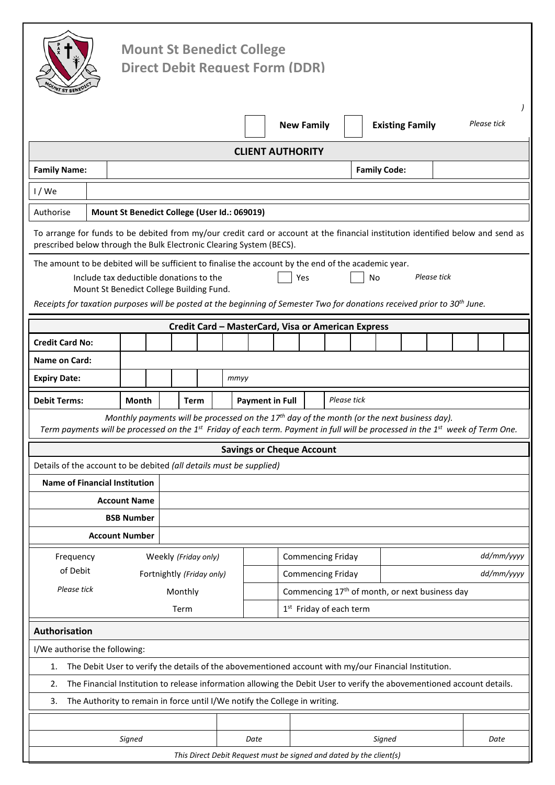|                                                                                                                                                                                                                                               |                                              |       |  | <b>Mount St Benedict College</b><br><b>Direct Debit Request Form (DDR)</b>                                             |                           |      |                          |  |                                                            |                                                    |  |                     |           |            |                        |             |            |  |             |  |  |
|-----------------------------------------------------------------------------------------------------------------------------------------------------------------------------------------------------------------------------------------------|----------------------------------------------|-------|--|------------------------------------------------------------------------------------------------------------------------|---------------------------|------|--------------------------|--|------------------------------------------------------------|----------------------------------------------------|--|---------------------|-----------|------------|------------------------|-------------|------------|--|-------------|--|--|
|                                                                                                                                                                                                                                               |                                              |       |  |                                                                                                                        |                           |      |                          |  |                                                            | <b>New Family</b>                                  |  |                     |           |            | <b>Existing Family</b> |             |            |  | Please tick |  |  |
|                                                                                                                                                                                                                                               |                                              |       |  |                                                                                                                        |                           |      |                          |  |                                                            | <b>CLIENT AUTHORITY</b>                            |  |                     |           |            |                        |             |            |  |             |  |  |
| <b>Family Name:</b>                                                                                                                                                                                                                           |                                              |       |  |                                                                                                                        |                           |      |                          |  |                                                            |                                                    |  | <b>Family Code:</b> |           |            |                        |             |            |  |             |  |  |
| $1$ / We                                                                                                                                                                                                                                      |                                              |       |  |                                                                                                                        |                           |      |                          |  |                                                            |                                                    |  |                     |           |            |                        |             |            |  |             |  |  |
| Authorise                                                                                                                                                                                                                                     | Mount St Benedict College (User Id.: 069019) |       |  |                                                                                                                        |                           |      |                          |  |                                                            |                                                    |  |                     |           |            |                        |             |            |  |             |  |  |
| To arrange for funds to be debited from my/our credit card or account at the financial institution identified below and send as<br>prescribed below through the Bulk Electronic Clearing System (BECS).                                       |                                              |       |  |                                                                                                                        |                           |      |                          |  |                                                            |                                                    |  |                     |           |            |                        |             |            |  |             |  |  |
| The amount to be debited will be sufficient to finalise the account by the end of the academic year.<br>Receipts for taxation purposes will be posted at the beginning of Semester Two for donations received prior to 30 <sup>th</sup> June. |                                              |       |  | Include tax deductible donations to the<br>Mount St Benedict College Building Fund.                                    |                           |      |                          |  |                                                            | Yes                                                |  |                     | <b>No</b> |            |                        | Please tick |            |  |             |  |  |
|                                                                                                                                                                                                                                               |                                              |       |  |                                                                                                                        |                           |      |                          |  |                                                            | Credit Card - MasterCard, Visa or American Express |  |                     |           |            |                        |             |            |  |             |  |  |
| <b>Credit Card No:</b>                                                                                                                                                                                                                        |                                              |       |  |                                                                                                                        |                           |      |                          |  |                                                            |                                                    |  |                     |           |            |                        |             |            |  |             |  |  |
| <b>Name on Card:</b>                                                                                                                                                                                                                          |                                              |       |  |                                                                                                                        |                           |      |                          |  |                                                            |                                                    |  |                     |           |            |                        |             |            |  |             |  |  |
| <b>Expiry Date:</b>                                                                                                                                                                                                                           |                                              |       |  |                                                                                                                        |                           | mmyy |                          |  |                                                            |                                                    |  |                     |           |            |                        |             |            |  |             |  |  |
| <b>Debit Terms:</b>                                                                                                                                                                                                                           |                                              | Month |  | <b>Term</b>                                                                                                            |                           |      |                          |  | Please tick<br><b>Payment in Full</b>                      |                                                    |  |                     |           |            |                        |             |            |  |             |  |  |
| Term payments will be processed on the 1 <sup>st</sup> Friday of each term. Payment in full will be processed in the 1 <sup>st</sup> week of Term One.                                                                                        |                                              |       |  | Monthly payments will be processed on the $17th$ day of the month (or the next business day).                          |                           |      |                          |  |                                                            |                                                    |  |                     |           |            |                        |             |            |  |             |  |  |
|                                                                                                                                                                                                                                               |                                              |       |  |                                                                                                                        |                           |      |                          |  |                                                            | <b>Savings or Cheque Account</b>                   |  |                     |           |            |                        |             |            |  |             |  |  |
| Details of the account to be debited (all details must be supplied)                                                                                                                                                                           |                                              |       |  |                                                                                                                        |                           |      |                          |  |                                                            |                                                    |  |                     |           |            |                        |             |            |  |             |  |  |
| <b>Name of Financial Institution</b><br><b>Account Name</b>                                                                                                                                                                                   |                                              |       |  |                                                                                                                        |                           |      |                          |  |                                                            |                                                    |  |                     |           |            |                        |             |            |  |             |  |  |
|                                                                                                                                                                                                                                               | <b>BSB Number</b>                            |       |  |                                                                                                                        |                           |      |                          |  |                                                            |                                                    |  |                     |           |            |                        |             |            |  |             |  |  |
| <b>Account Number</b>                                                                                                                                                                                                                         |                                              |       |  |                                                                                                                        |                           |      |                          |  |                                                            |                                                    |  |                     |           |            |                        |             |            |  |             |  |  |
| Frequency                                                                                                                                                                                                                                     |                                              |       |  | Weekly (Friday only)                                                                                                   |                           |      | <b>Commencing Friday</b> |  |                                                            |                                                    |  |                     |           |            |                        |             | dd/mm/yyyy |  |             |  |  |
| of Debit                                                                                                                                                                                                                                      |                                              |       |  |                                                                                                                        | Fortnightly (Friday only) |      |                          |  |                                                            | <b>Commencing Friday</b>                           |  |                     |           | dd/mm/yyyy |                        |             |            |  |             |  |  |
| Please tick                                                                                                                                                                                                                                   |                                              |       |  | Monthly                                                                                                                |                           |      |                          |  | Commencing 17 <sup>th</sup> of month, or next business day |                                                    |  |                     |           |            |                        |             |            |  |             |  |  |
|                                                                                                                                                                                                                                               |                                              |       |  | Term                                                                                                                   |                           |      |                          |  | 1 <sup>st</sup> Friday of each term                        |                                                    |  |                     |           |            |                        |             |            |  |             |  |  |
| Authorisation                                                                                                                                                                                                                                 |                                              |       |  |                                                                                                                        |                           |      |                          |  |                                                            |                                                    |  |                     |           |            |                        |             |            |  |             |  |  |
| I/We authorise the following:                                                                                                                                                                                                                 |                                              |       |  |                                                                                                                        |                           |      |                          |  |                                                            |                                                    |  |                     |           |            |                        |             |            |  |             |  |  |
| 1.                                                                                                                                                                                                                                            |                                              |       |  | The Debit User to verify the details of the abovementioned account with my/our Financial Institution.                  |                           |      |                          |  |                                                            |                                                    |  |                     |           |            |                        |             |            |  |             |  |  |
| 2.                                                                                                                                                                                                                                            |                                              |       |  | The Financial Institution to release information allowing the Debit User to verify the abovementioned account details. |                           |      |                          |  |                                                            |                                                    |  |                     |           |            |                        |             |            |  |             |  |  |
| 3.                                                                                                                                                                                                                                            |                                              |       |  | The Authority to remain in force until I/We notify the College in writing.                                             |                           |      |                          |  |                                                            |                                                    |  |                     |           |            |                        |             |            |  |             |  |  |
|                                                                                                                                                                                                                                               |                                              |       |  |                                                                                                                        |                           |      |                          |  |                                                            |                                                    |  |                     |           |            |                        |             |            |  |             |  |  |
|                                                                                                                                                                                                                                               |                                              |       |  |                                                                                                                        |                           |      |                          |  |                                                            |                                                    |  |                     |           |            |                        |             |            |  |             |  |  |